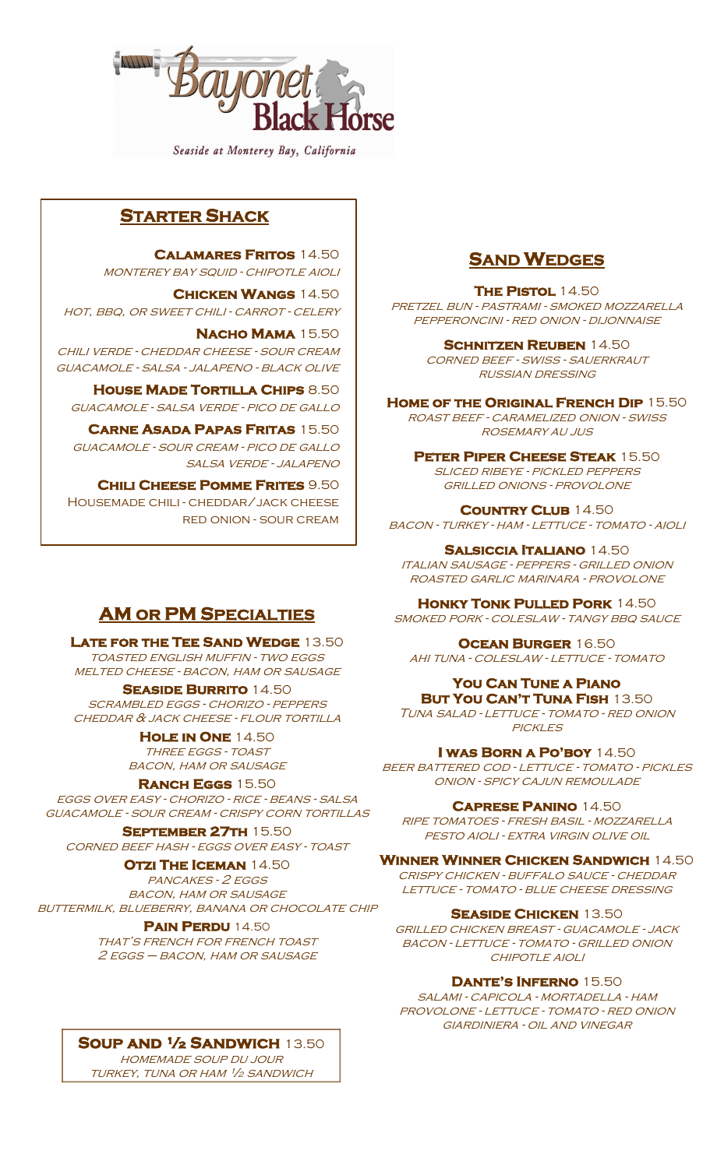

Seaside at Monterey Bay, California

### **STARTER SHACK**

**Calamares Fritos** 14.50 monterey bay squid - chipotle aioli

**Chicken Wangs** 14.50 HOT, BBQ, OR SWEET CHILI - CARROT - CELERY

**Nacho Mama** 15.50 chili verde - cheddar cheese - sour cream guacamole - salsa - jalapeno - black olive

**House Made Tortilla Chips** 8.50 guacamole - salsa verde - pico de gallo

**Carne Asada Papas Fritas** 15.50 guacamole - sour cream - pico de gallo salsa verde - jalapeno

**Chili Cheese Pomme Frites** 9.50 Housemade chili - cheddar/jack cheese red onion - sour cream

#### **SAND WEDGES**

**The Pistol** 14.50

pretzel bun - pastrami - smoked mozzarella pepperoncini - red onion - dijonnaise

**Schnitzen Reuben** 14.50

corned beef - swiss - sauerkraut russian dressing

**Home of the Original French Dip** 15.50 roast beef - caramelized onion - swiss rosemary au jus

**Peter Piper Cheese Steak** 15.50 sliced ribeye - pickled peppers grilled onions - provolone

**Country Club** 14.50 BACON - TURKEY - HAM - LETTUCE - TOMATO - AIOLI

**Salsiccia Italiano** 14.50 italian sausage - peppers - grilled onion roasted garlic marinara - provolone

**HONKY TONK PULLED PORK 14.50** smoked pork - coleslaw - tangy bbq sauce

**Ocean Burger** 16.50 ahi tuna - coleslaw - lettuce - tomato

**You Can Tune a Piano But You Can't Tuna Fish** 13.50 Tuna salad - lettuce - tomato - red onion **PICKLES** 

**I was Born a Po'boy** 14.50 beer battered cod - lettuce - tomato - pickles onion - spicy cajun remoulade

**Caprese Panino** 14.50 ripe tomatoes - fresh basil - mozzarella pesto aioli - extra virgin olive oil

**Winner Winner Chicken Sandwich** 14.50 crispy chicken - buffalo sauce - cheddar lettuce - tomato - blue cheese dressing

**Seaside Chicken** 13.50 grilled chicken breast - guacamole - jack BACON - LETTUCE - TOMATO - GRILLED ONION chipotle aioli

**Dante's Inferno** 15.50 salami - capicola - mortadella - ham

provolone - lettuce - tomato - red onion giardiniera - oil and vinegar

# **AM OR PM SPECIALTIES**

**Late for the Tee Sand Wedge** 13.50 toasted english muffin - two eggs MELTED CHEESE - BACON, HAM OR SAUSAGE

**Seaside Burrito** 14.50 scrambled eggs - chorizo - peppers cheddar & jack cheese - flour tortilla

> **Hole in One** 14.50 THREE EGGS - TOAST bacon, ham or sausage

**Ranch Eggs** 15.50

eggs over easy - chorizo - rice - beans - salsa guacamole - sour cream - crispy corn tortillas

**September 27th** 15.50

corned beef hash - eggs over easy - toast

**OTZI THE ICEMAN** 14.50

PANCAKES - 2 EGGS bacon, ham or sausage buttermilk, blueberry, banana or chocolate chip

> **Pain Perdu** 14.50 that's french for french toast 2 eggs – bacon, ham or sausage

**Soup and ½ Sandwich** 13.50

homemade soup du jour turkey, tuna or ham ½ sandwich